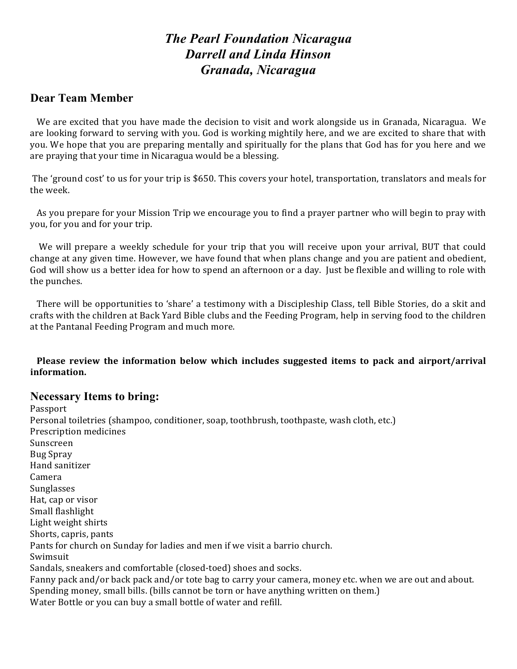# *The Pearl Foundation Nicaragua Darrell and Linda Hinson Granada, Nicaragua*

## **Dear Team Member**

We are excited that you have made the decision to visit and work alongside us in Granada, Nicaragua. We are looking forward to serving with you. God is working mightily here, and we are excited to share that with you. We hope that you are preparing mentally and spiritually for the plans that God has for you here and we are praying that your time in Nicaragua would be a blessing.

The 'ground cost' to us for your trip is \$650. This covers your hotel, transportation, translators and meals for the week.

As you prepare for your Mission Trip we encourage you to find a prayer partner who will begin to pray with you, for you and for your trip.

We will prepare a weekly schedule for your trip that you will receive upon your arrival, BUT that could change at any given time. However, we have found that when plans change and you are patient and obedient, God will show us a better idea for how to spend an afternoon or a day. Just be flexible and willing to role with the punches.

There will be opportunities to 'share' a testimony with a Discipleship Class, tell Bible Stories, do a skit and crafts with the children at Back Yard Bible clubs and the Feeding Program, help in serving food to the children at the Pantanal Feeding Program and much more.

**Please review the information below which includes suggested items to pack and airport/arrival information.** 

## **Necessary Items to bring:**

Passport Personal toiletries (shampoo, conditioner, soap, toothbrush, toothpaste, wash cloth, etc.) Prescription medicines Sunscreen Bug Spray Hand sanitizer Camera Sunglasses Hat, cap or visor Small flashlight Light weight shirts Shorts, capris, pants Pants for church on Sunday for ladies and men if we visit a barrio church. Swimsuit Sandals, sneakers and comfortable (closed-toed) shoes and socks. Fanny pack and/or back pack and/or tote bag to carry your camera, money etc. when we are out and about. Spending money, small bills. (bills cannot be torn or have anything written on them.) Water Bottle or you can buy a small bottle of water and refill.